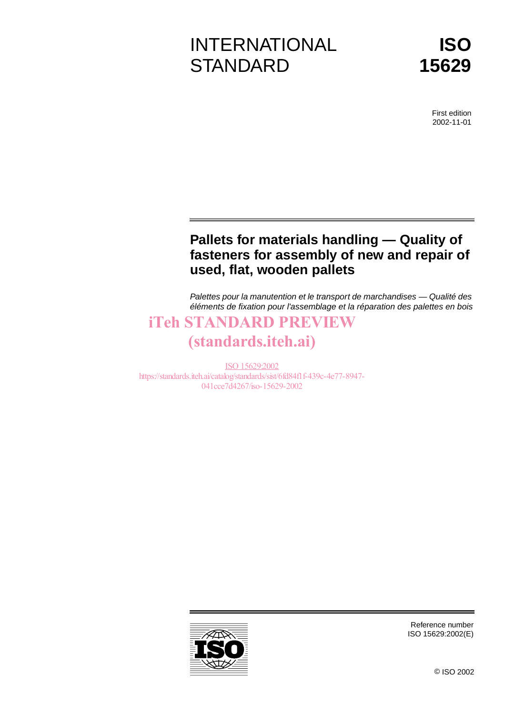# INTERNATIONAL **STANDARD**

First edition 2002-11-01

# **Pallets for materials handling — Quality of fasteners for assembly of new and repair of used, flat, wooden pallets**

Palettes pour la manutention et le transport de marchandises — Qualité des éléments de fixation pour l'assemblage et la réparation des palettes en bois

# iTeh STANDARD PREVIEW

# (standards.iteh.ai)

ISO 15629:2002 https://standards.iteh.ai/catalog/standards/sist/6fd84f1f-439c-4e77-8947- 041cce7d4267/iso-15629-2002



Reference number ISO 15629:2002(E)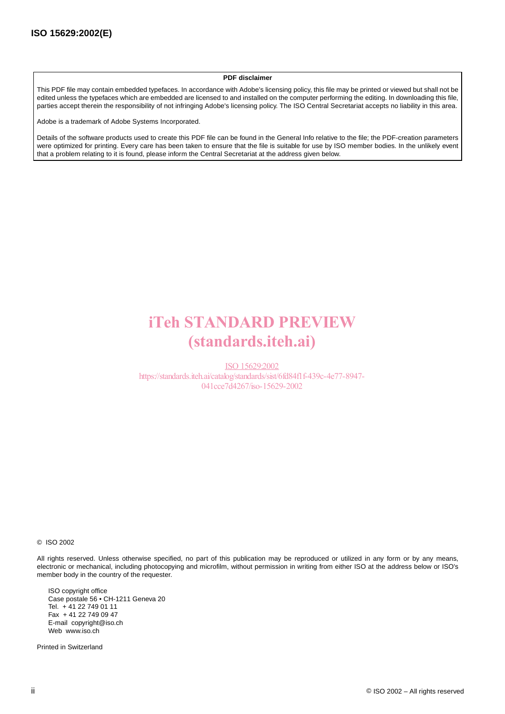#### **PDF disclaimer**

This PDF file may contain embedded typefaces. In accordance with Adobe's licensing policy, this file may be printed or viewed but shall not be edited unless the typefaces which are embedded are licensed to and installed on the computer performing the editing. In downloading this file, parties accept therein the responsibility of not infringing Adobe's licensing policy. The ISO Central Secretariat accepts no liability in this area.

Adobe is a trademark of Adobe Systems Incorporated.

Details of the software products used to create this PDF file can be found in the General Info relative to the file; the PDF-creation parameters were optimized for printing. Every care has been taken to ensure that the file is suitable for use by ISO member bodies. In the unlikely event that a problem relating to it is found, please inform the Central Secretariat at the address given below.

# iTeh STANDARD PREVIEW (standards.iteh.ai)

ISO 15629:2002 https://standards.iteh.ai/catalog/standards/sist/6fd84f1f-439c-4e77-8947- 041cce7d4267/iso-15629-2002

© ISO 2002

All rights reserved. Unless otherwise specified, no part of this publication may be reproduced or utilized in any form or by any means, electronic or mechanical, including photocopying and microfilm, without permission in writing from either ISO at the address below or ISO's member body in the country of the requester.

ISO copyright office Case postale 56 • CH-1211 Geneva 20 Tel. + 41 22 749 01 11 Fax + 41 22 749 09 47 E-mail copyright@iso.ch Web www.iso.ch

Printed in Switzerland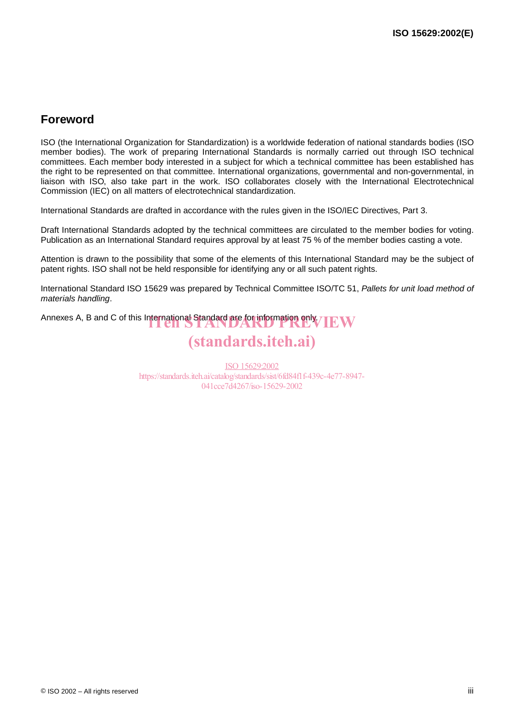# **Foreword**

ISO (the International Organization for Standardization) is a worldwide federation of national standards bodies (ISO member bodies). The work of preparing International Standards is normally carried out through ISO technical committees. Each member body interested in a subject for which a technical committee has been established has the right to be represented on that committee. International organizations, governmental and non-governmental, in liaison with ISO, also take part in the work. ISO collaborates closely with the International Electrotechnical Commission (IEC) on all matters of electrotechnical standardization.

International Standards are drafted in accordance with the rules given in the ISO/IEC Directives, Part 3.

Draft International Standards adopted by the technical committees are circulated to the member bodies for voting. Publication as an International Standard requires approval by at least 75 % of the member bodies casting a vote.

Attention is drawn to the possibility that some of the elements of this International Standard may be the subject of patent rights. ISO shall not be held responsible for identifying any or all such patent rights.

International Standard ISO 15629 was prepared by Technical Committee ISO/TC 51, Pallets for unit load method of materials handling.

Annexes A, B and C of this International Standard are for information only. TEW

# (standards.iteh.ai)

ISO 15629:2002 https://standards.iteh.ai/catalog/standards/sist/6fd84f1f-439c-4e77-8947- 041cce7d4267/iso-15629-2002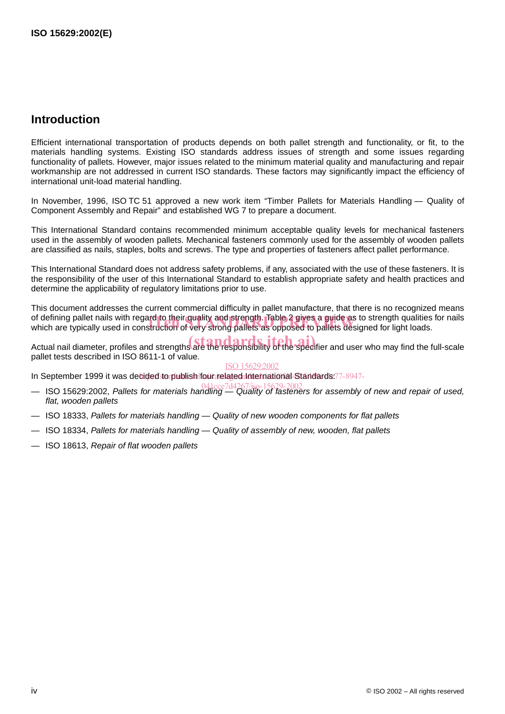# **Introduction**

Efficient international transportation of products depends on both pallet strength and functionality, or fit, to the materials handling systems. Existing ISO standards address issues of strength and some issues regarding functionality of pallets. However, major issues related to the minimum material quality and manufacturing and repair workmanship are not addressed in current ISO standards. These factors may significantly impact the efficiency of international unit-load material handling.

In November, 1996, ISO TC 51 approved a new work item "Timber Pallets for Materials Handling — Quality of Component Assembly and Repair" and established WG 7 to prepare a document.

This International Standard contains recommended minimum acceptable quality levels for mechanical fasteners used in the assembly of wooden pallets. Mechanical fasteners commonly used for the assembly of wooden pallets are classified as nails, staples, bolts and screws. The type and properties of fasteners affect pallet performance.

This International Standard does not address safety problems, if any, associated with the use of these fasteners. It is the responsibility of the user of this International Standard to establish appropriate safety and health practices and determine the applicability of regulatory limitations prior to use.

This document addresses the current commercial difficulty in pallet manufacture, that there is no recognized means of defining pallet nails with regard to their quality and strength. Table 2 gives a guide as to strength qualities for nails of defining pallet nails with regard to their quality and strength. Table 2 gives a guide as to strength qualities<br>which are typically used in construction of very strong pallets as opposed to pallets designed for light lo

Actual nail diameter, profiles and strengths are the responsibility of the specifier and user who may find the full-scale pallet tests described in ISO 8611-1 of value.

#### ISO 15629:2002

In September 1999 it was decided to publish four related International Standards: 77-8947-

- ISO 15629:2002, Pallets for materials handling Quality of fasteners for assembly of new and repair of used, 041cce7d4267/iso-15629-2002flat, wooden pallets
- ISO 18333, Pallets for materials handling Quality of new wooden components for flat pallets
- ISO 18334, Pallets for materials handling Quality of assembly of new, wooden, flat pallets
- ISO 18613, Repair of flat wooden pallets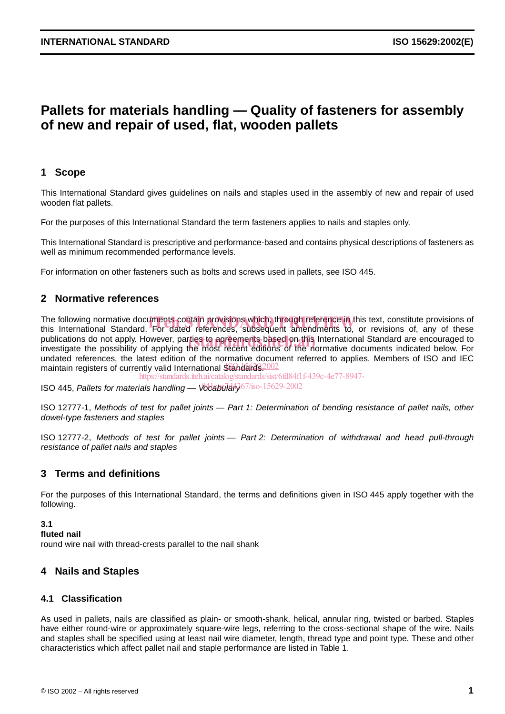# **Pallets for materials handling — Quality of fasteners for assembly of new and repair of used, flat, wooden pallets**

## **1 Scope**

This International Standard gives guidelines on nails and staples used in the assembly of new and repair of used wooden flat pallets.

For the purposes of this International Standard the term fasteners applies to nails and staples only.

This International Standard is prescriptive and performance-based and contains physical descriptions of fasteners as well as minimum recommended performance levels.

For information on other fasteners such as bolts and screws used in pallets, see ISO 445.

## **2 Normative references**

The following normative documents contain provisions which, through reference in this text, constitute provisions of<br>this International Standard. For dated references. subsequent amendments to, or revisions of, anv of thes this International Standard. For dated references, subsequent amendments to, or revisions of, any of these publications do not apply. However, parties to agreements based on this International Standard are encouraged to<br>investigate the possibility of applying the most recent editions of the normative documents indicated below. investigate the possibility of applying the most recent editions of the normative documents indicated below. For undated references, the latest edition of the normative document referred to applies. Members of ISO and IEC maintain registers of currently valid International Standards. 2002

https://standards.iteh.ai/catalog/standards/sist/6fd84f1f-439c-4e77-8947-

ISO 445, Pallets for materials handling — Vocabulary<sup>67/iso-15629-2002</sup>

ISO 12777-1, Methods of test for pallet joints — Part 1: Determination of bending resistance of pallet nails, other dowel-type fasteners and staples

ISO 12777-2, Methods of test for pallet joints — Part 2: Determination of withdrawal and head pull-through resistance of pallet nails and staples

## **3 Terms and definitions**

For the purposes of this International Standard, the terms and definitions given in ISO 445 apply together with the following.

#### **3.1**

**fluted nail**

round wire nail with thread-crests parallel to the nail shank

### **4 Nails and Staples**

### **4.1 Classification**

As used in pallets, nails are classified as plain- or smooth-shank, helical, annular ring, twisted or barbed. Staples have either round-wire or approximately square-wire legs, referring to the cross-sectional shape of the wire. Nails and staples shall be specified using at least nail wire diameter, length, thread type and point type. These and other characteristics which affect pallet nail and staple performance are listed in Table 1.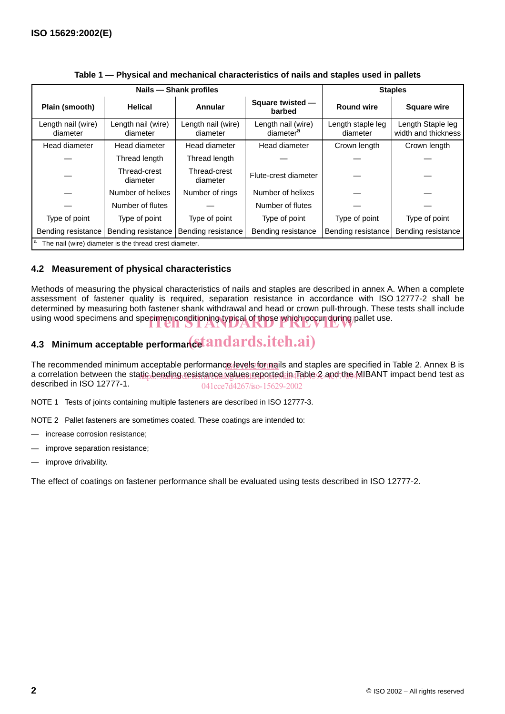|                                                        | Nails - Shank profiles         | <b>Staples</b>                 |                                             |                               |                                          |  |  |  |  |
|--------------------------------------------------------|--------------------------------|--------------------------------|---------------------------------------------|-------------------------------|------------------------------------------|--|--|--|--|
| Plain (smooth)                                         | <b>Helical</b>                 | Annular                        | Square twisted -<br>barbed                  | <b>Round wire</b>             | <b>Square wire</b>                       |  |  |  |  |
| Length nail (wire)<br>diameter                         | Length nail (wire)<br>diameter | Length nail (wire)<br>diameter | Length nail (wire)<br>diameter <sup>a</sup> | Length staple leg<br>diameter | Length Staple leg<br>width and thickness |  |  |  |  |
| Head diameter                                          | Head diameter                  | Head diameter                  | Head diameter<br>Crown length               |                               | Crown length                             |  |  |  |  |
|                                                        | Thread length                  | Thread length                  |                                             |                               |                                          |  |  |  |  |
|                                                        | Thread-crest<br>diameter       | Thread-crest<br>diameter       | Flute-crest diameter                        |                               |                                          |  |  |  |  |
|                                                        | Number of helixes              | Number of rings                | Number of helixes                           |                               |                                          |  |  |  |  |
|                                                        | Number of flutes               |                                | Number of flutes                            |                               |                                          |  |  |  |  |
| Type of point                                          | Type of point                  | Type of point                  | Type of point<br>Type of point              |                               | Type of point                            |  |  |  |  |
| Bending resistance                                     | Bending resistance             | Bending resistance             | Bending resistance                          | Bending resistance            | Bending resistance                       |  |  |  |  |
| The nail (wire) diameter is the thread crest diameter. |                                |                                |                                             |                               |                                          |  |  |  |  |

**Table 1 — Physical and mechanical characteristics of nails and staples used in pallets**

## **4.2 Measurement of physical characteristics**

Methods of measuring the physical characteristics of nails and staples are described in annex A. When a complete assessment of fastener quality is required, separation resistance in accordance with ISO 12777-2 shall be determined by measuring both fastener shank withdrawal and head or crown pull-through. These tests shall include using wood specimens and specimen conditioning typical of those which occur during pallet use.

# 4.3 Minimum acceptable performan**cet andards.iteh.ai**)

The recommended minimum acceptable performanc<u>e levels forma</u>ils and staples are specified in Table 2. Annex B is a correlation between the static bending resistance values reported in Table 2 and the MIBANT impact bend test as described in ISO 12777-1. 041cce7d4267/iso-15629-2002

NOTE 1 Tests of joints containing multiple fasteners are described in ISO 12777-3.

NOTE 2 Pallet fasteners are sometimes coated. These coatings are intended to:

- increase corrosion resistance;
- improve separation resistance;
- improve drivability.

The effect of coatings on fastener performance shall be evaluated using tests described in ISO 12777-2.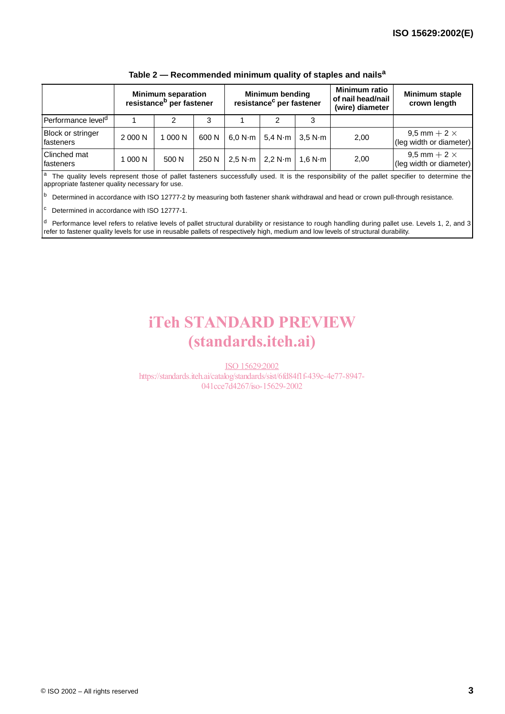|                                |         | <b>Minimum separation</b><br>resistance <sup>b</sup> per fastener |       | <b>Minimum bending</b><br>resistance <sup>c</sup> per fastener |                   |                                   | <b>Minimum ratio</b><br>of nail head/nail<br>(wire) diameter | <b>Minimum staple</b><br>crown length            |
|--------------------------------|---------|-------------------------------------------------------------------|-------|----------------------------------------------------------------|-------------------|-----------------------------------|--------------------------------------------------------------|--------------------------------------------------|
| Performance level <sup>d</sup> |         |                                                                   | 3     |                                                                |                   |                                   |                                                              |                                                  |
| Block or stringer<br>fasteners | 2 000 N | 1 000 N                                                           | 600 N | 6.0 N·m                                                        |                   | 5,4 N $\cdot$ m   3,5 N $\cdot$ m | 2,00                                                         | 9,5 mm $+$ 2 $\times$<br>(leg width or diameter) |
| Clinched mat<br>fasteners      | 1 000 N | 500 N                                                             | 250 N | 2.5 N·m                                                        | 2.2 N $\cdot$ m l | 1.6 N $\cdot$ m                   | 2,00                                                         | 9.5 mm $+$ 2 $\times$<br>(leg width or diameter) |

#### **Table 2 — Recommended minimum quality of staples and nails<sup>a</sup>**

The quality levels represent those of pallet fasteners successfully used. It is the responsibility of the pallet specifier to determine the appropriate fastener quality necessary for use.

b Determined in accordance with ISO 12777-2 by measuring both fastener shank withdrawal and head or crown pull-through resistance.

 $\frac{c}{c}$  Determined in accordance with ISO 12777-1.

<sup>d</sup> Performance level refers to relative levels of pallet structural durability or resistance to rough handling during pallet use. Levels 1, 2, and 3 refer to fastener quality levels for use in reusable pallets of respectively high, medium and low levels of structural durability.

# iTeh STANDARD PREVIEW (standards.iteh.ai)

ISO 15629:2002

https://standards.iteh.ai/catalog/standards/sist/6fd84f1f-439c-4e77-8947- 041cce7d4267/iso-15629-2002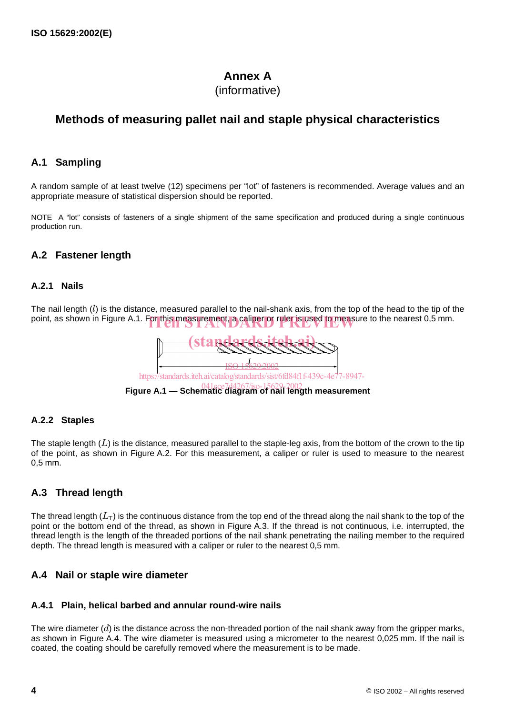# **Annex A**

# (informative)

# **Methods of measuring pallet nail and staple physical characteristics**

## **A.1 Sampling**

A random sample of at least twelve (12) specimens per "lot" of fasteners is recommended. Average values and an appropriate measure of statistical dispersion should be reported.

NOTE A "lot" consists of fasteners of a single shipment of the same specification and produced during a single continuous production run.

# **A.2 Fastener length**

## **A.2.1 Nails**

The nail length  $(l)$  is the distance, measured parallel to the nail-shank axis, from the top of the head to the tip of the point, as shown in Figure A.1. For this measurement, a caliper or ruler is used to measure to the nearest 0,5 mm.



### **A.2.2 Staples**

The staple length  $(L)$  is the distance, measured parallel to the staple-leg axis, from the bottom of the crown to the tip of the point, as shown in Figure A.2. For this measurement, a caliper or ruler is used to measure to the nearest . 0,5 mm

# **A.3 Thread length**

The thread length  $(L_{\sf T})$  is the continuous distance from the top end of the thread along the nail shank to the top of the point or the bottom end of the thread, as shown in Figure A.3. If the thread is not continuous, i.e. interrupted, the thread length is the length of the threaded portions of the nail shank penetrating the nailing member to the required depth. The thread length is measured with a caliper or ruler to the nearest 0,5 mm.

## **A.4 Nail or staple wire diameter**

### **A.4.1 Plain, helical barbed and annular round-wire nails**

The wire diameter ( $d$ ) is the distance across the non-threaded portion of the nail shank away from the gripper marks, as shown in Figure A.4. The wire diameter is measured using a micrometer to the nearest 0,025 mm. If the nail is coated, the coating should be carefully removed where the measurement is to be made.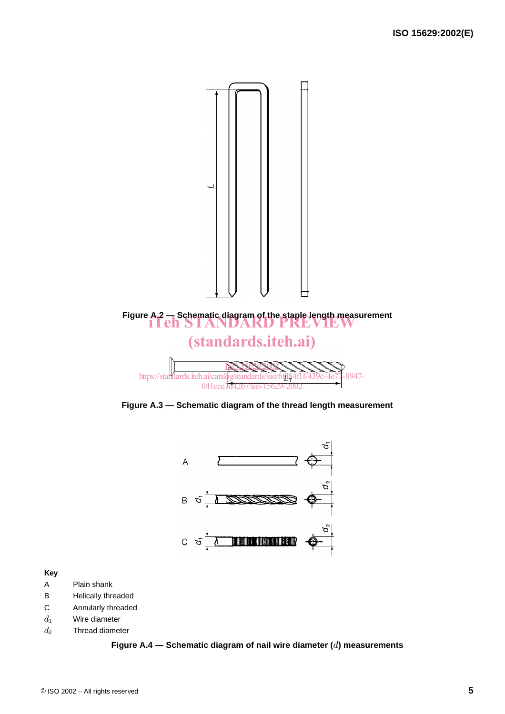

**Figure A.3 — Schematic diagram of the thread length measurement**



#### **Key**

- A Plain shank
- B Helically threaded
- C Annularly threaded
- Wire diameter  $d_1$
- Thread diameter  $d_2$

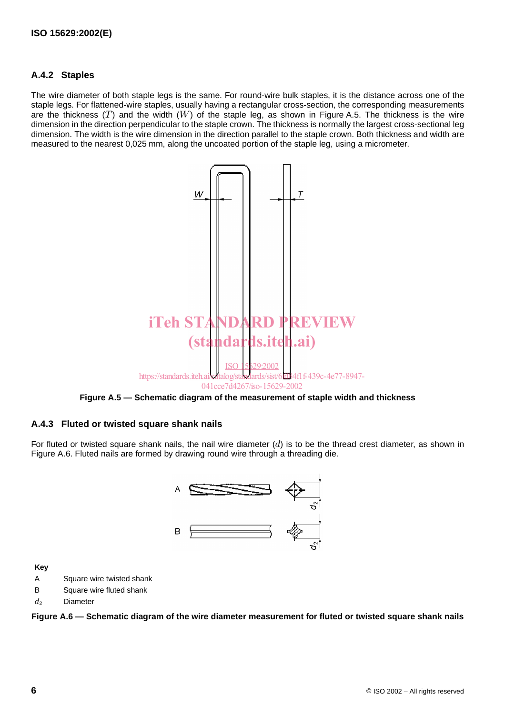## **A.4.2 Staples**

The wire diameter of both staple legs is the same. For round-wire bulk staples, it is the distance across one of the staple legs. For flattened-wire staples, usually having a rectangular cross-section, the corresponding measurements are the thickness  $(T)$  and the width  $(W)$  of the staple leg, as shown in Figure A.5. The thickness is the wire dimension in the direction perpendicular to the staple crown. The thickness is normally the largest cross-sectional leg dimension. The width is the wire dimension in the direction parallel to the staple crown. Both thickness and width are measured to the nearest 0,025 mm, along the uncoated portion of the staple leg, using a micrometer.





### **A.4.3 Fluted or twisted square shank nails**

For fluted or twisted square shank nails, the nail wire diameter  $(d)$  is to be the thread crest diameter, as shown in Figure A.6. Fluted nails are formed by drawing round wire through a threading die.



**Key**

- A Square wire twisted shank
- B Square wire fluted shank
- Diameter  $d_2$

**Figure A.6 — Schematic diagram of the wire diameter measurement for fluted or twisted square shank nails**